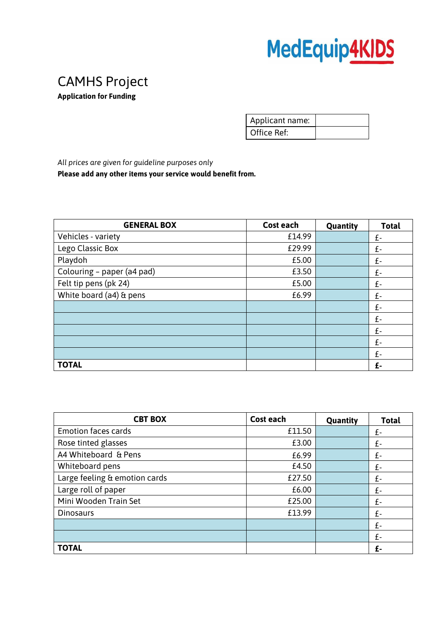## MedEquip4KIDS

## CAMHS Project

**Application for Funding** 

| Applicant name: |  |
|-----------------|--|
| Office Ref:     |  |

*All prices are given for guideline purposes only* **Please add any other items your service would benefit from.** 

| <b>GENERAL BOX</b>         | Cost each | Quantity | <b>Total</b> |
|----------------------------|-----------|----------|--------------|
| Vehicles - variety         | £14.99    |          | £-           |
| Lego Classic Box           | £29.99    |          | £-           |
| Playdoh                    | £5.00     |          | £-           |
| Colouring - paper (a4 pad) | £3.50     |          | £-           |
| Felt tip pens (pk 24)      | £5.00     |          | £-           |
| White board (a4) & pens    | £6.99     |          | £-           |
|                            |           |          | £-           |
|                            |           |          | £-           |
|                            |           |          | £-           |
|                            |           |          | £-           |
|                            |           |          | £-           |
| <b>TOTAL</b>               |           |          | £-           |

| <b>CBT BOX</b>                | <b>Cost each</b> | Quantity | <b>Total</b> |
|-------------------------------|------------------|----------|--------------|
| <b>Emotion faces cards</b>    | £11.50           |          | £-           |
| Rose tinted glasses           | £3.00            |          | £-           |
| A4 Whiteboard & Pens          | £6.99            |          | £-           |
| Whiteboard pens               | £4.50            |          | £-           |
| Large feeling & emotion cards | £27.50           |          | £-           |
| Large roll of paper           | £6.00            |          | £-           |
| Mini Wooden Train Set         | £25.00           |          | £-           |
| <b>Dinosaurs</b>              | £13.99           |          | £-           |
|                               |                  |          | $f -$        |
|                               |                  |          | f-           |
| <b>TOTAL</b>                  |                  |          | £-           |